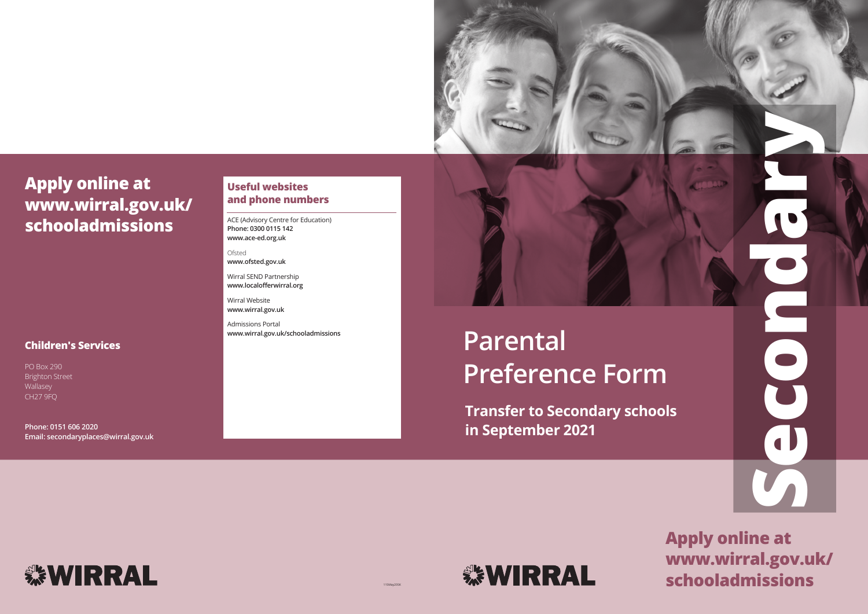







## **Children's Services**

PO Box 290 Brighton Street Wallasey CH27 9FQ

**Phone: 0151 606 2020 Email: secondaryplaces@wirral.gov.uk**



# **Apply online at www.wirral.gov.uk/ schooladmissions**

## **Useful websites and phone numbers**

ACE (Advisory Centre for Education) **Phone: 0300 0115 142 www.ace-ed.org.uk**

Ofsted **www.ofsted.gov.uk**

Wirral SEND Partnership **www.localofferwirral.org**

Wirral Website **www.wirral.gov.uk**

Admissions Portal **www.wirral.gov.uk/schooladmissions**

115May20SK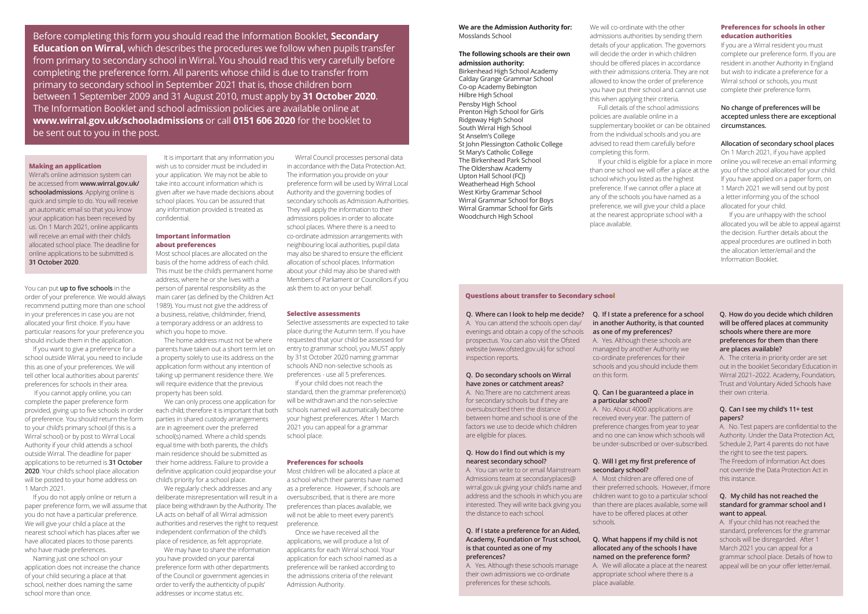### **Making an application**

Wirral's online admission system can be accessed from **www.wirral.gov.uk/ schooladmissions**. Applying online is quick and simple to do. You will receive an automatic email so that you know your application has been received by us. On 1 March 2021, online applicants will receive an email with their child's allocated school place. The deadline for online applications to be submitted is **31 October 2020**.

You can put **up to five schools** in the order of your preference. We would always recommend putting more than one school in your preferences in case you are not allocated your first choice. If you have particular reasons for your preference you should include them in the application.

If you want to give a preference for a school outside Wirral, you need to include this as one of your preferences. We will tell other local authorities about parents' preferences for schools in their area.

 If you cannot apply online, you can complete the paper preference form provided, giving up to five schools in order of preference. You should return the form to your child's primary school (if this is a Wirral school) or by post to Wirral Local Authority if your child attends a school outside Wirral. The deadline for paper applications to be returned is **31 October 2020**. Your child's school place allocation will be posted to your home address on 1 March 2021.

If you do not apply online or return a paper preference form, we will assume that you do not have a particular preference. We will give your child a place at the nearest school which has places after we have allocated places to those parents who have made preferences.

Naming just one school on your application does not increase the chance of your child securing a place at that school, neither does naming the same school more than once.

We may have to share the information you have provided on your parental preference form with other departments of the Council or government agencies in order to verify the authenticity of pupils' addresses or income status etc.

It is important that any information you wish us to consider must be included in your application. We may not be able to take into account information which is given after we have made decisions about school places. You can be assured that any information provided is treated as confidential.

## **Important information about preferences**

Most school places are allocated on the basis of the home address of each child. This must be the child's permanent home address, where he or she lives with a person of parental responsibility as the main carer (as defined by the Children Act 1989). You must not give the address of a business, relative, childminder, friend, a temporary address or an address to which you hope to move.

The home address must not be where parents have taken out a short term let on a property solely to use its address on the application form without any intention of taking up permanent residence there. We will require evidence that the previous property has been sold.

We can only process one application for each child; therefore it is important that both parties in shared custody arrangements are in agreement over the preferred school(s) named. Where a child spends equal time with both parents, the child's main residence should be submitted as their home address. Failure to provide a definitive application could jeopardise your child's priority for a school place.

We regularly check addresses and any deliberate misrepresentation will result in a place being withdrawn by the Authority. The LA acts on behalf of all Wirral admission authorities and reserves the right to request independent confirmation of the child's place of residence, as felt appropriate.

Wirral Council processes personal data in accordance with the Data Protection Act. The information you provide on your preference form will be used by Wirral Local Authority and the governing bodies of secondary schools as Admission Authorities. They will apply the information to their admissions policies in order to allocate school places. Where there is a need to co-ordinate admission arrangements with neighbouring local authorities, pupil data may also be shared to ensure the efficient allocation of school places. Information about your child may also be shared with Members of Parliament or Councillors if you ask them to act on your behalf.

### **Selective assessments**

Selective assessments are expected to take place during the Autumn term. If you have requested that your child be assessed for entry to grammar school, you MUST apply by 31st October 2020 naming grammar schools AND non-selective schools as preferences - use all 5 preferences.

If your child does not reach the standard, then the grammar preference(s) will be withdrawn and the non-selective schools named will automatically become your highest preferences. After 1 March 2021 you can appeal for a grammar school place.

### **Preferences for schools**

Most children will be allocated a place at a school which their parents have named as a preference. However, if schools are oversubscribed, that is there are more preferences than places available, we will not be able to meet every parent's preference.

Once we have received all the applications, we will produce a list of applicants for each Wirral school. Your application for each school named as a preference will be ranked according to the admissions criteria of the relevant Admission Authority.

**We are the Admission Authority for:** Mosslands School

## **The following schools are their own admission authority:**

Birkenhead High School Academy Calday Grange Grammar School Co-op Academy Bebington Hilbre High School Pensby High School Prenton High School for Girls Ridgeway High School South Wirral High School St Anselm's College St John Plessington Catholic College St Mary's Catholic College The Birkenhead Park School The Oldershaw Academy Upton Hall School (FCJ) Weatherhead High School West Kirby Grammar School Wirral Grammar School for Boys Wirral Grammar School for Girls Woodchurch High School

We will co-ordinate with the other admissions authorities by sending them details of your application. The governors will decide the order in which children should be offered places in accordance with their admissions criteria. They are not allowed to know the order of preference you have put their school and cannot use this when applying their criteria.

Full details of the school admissions policies are available online in a supplementary booklet or can be obtained from the individual schools and you are advised to read them carefully before completing this form.

If your child is eligible for a place in more than one school we will offer a place at the school which you listed as the highest preference. If we cannot offer a place at any of the schools you have named as a preference, we will give your child a place at the nearest appropriate school with a place available.

## **Preferences for schools in other education authorities**

If you are a Wirral resident you must complete our preference form. If you are resident in another Authority in England but wish to indicate a preference for a Wirral school or schools, you must complete their preference form.

## **No change of preferences will be accepted unless there are exceptional circumstances.**

## **Allocation of secondary school places**

On 1 March 2021, if you have applied online you will receive an email informing you of the school allocated for your child. If you have applied on a paper form, on 1 March 2021 we will send out by post a letter informing you of the school allocated for your child.

If you are unhappy with the school allocated you will be able to appeal against the decision. Further details about the appeal procedures are outlined in both the allocation letter/email and the Information Booklet.

Before completing this form you should read the Information Booklet, **Secondary Education on Wirral,** which describes the procedures we follow when pupils transfer from primary to secondary school in Wirral. You should read this very carefully before completing the preference form. All parents whose child is due to transfer from primary to secondary school in September 2021 that is, those children born between 1 September 2009 and 31 August 2010, must apply by **31 October 2020**. The Information Booklet and school admission policies are available online at **www.wirral.gov.uk/schooladmissions** or call **0151 606 2020** for the booklet to be sent out to you in the post.

> **Q. Where can I look to help me decide?** A. You can attend the schools open day/ evenings and obtain a copy of the schools prospectus. You can also visit the Ofsted website (www.ofsted.gov.uk) for school inspection reports.

## **Q. Do secondary schools on Wirral have zones or catchment areas?**

A. No.There are no catchment areas for secondary schools but if they are oversubscribed then the distance between home and school is one of the factors we use to decide which children are eligible for places.

## **Q. How do I find out which is my nearest secondary school?**

A. You can write to or email Mainstream Admissions team at secondaryplaces@ wirral.gov.uk giving your child's name and address and the schools in which you are interested. They will write back giving you the distance to each school.

## **Q. If I state a preference for an Aided, Academy, Foundation or Trust school, is that counted as one of my preferences?**

A. Yes. Although these schools manage their own admissions we co-ordinate preferences for these schools.

## **Q. If I state a preference for a school in another Authority, is that counted as one of my preferences?** A. Yes. Although these schools are managed by another Authority we co-ordinate preferences for their schools and you should include them on this form.

**Q. Can I be guaranteed a place in a particular school?**

A. No. About 4000 applications are received every year. The pattern of preference changes from year to year and no one can know which schools will be under-subscribed or over-subscribed.

## **Q. Will I get my first preference of secondary school?**

A. Most children are offered one of their preferred schools. However, if more children want to go to a particular school than there are places available, some will have to be offered places at other schools.

## **Q. What happens if my child is not allocated any of the schools I have named on the preference form?**

A. We will allocate a place at the nearest appropriate school where there is a

place available.

## **Q. How do you decide which children will be offered places at community schools where there are more preferences for them than there are places available?**

A. The criteria in priority order are set out in the booklet Secondary Education in Wirral 2021–2022. Academy, Foundation, Trust and Voluntary Aided Schools have their own criteria.

## **Q. Can I see my child's 11+ test papers?**

A. No. Test papers are confidential to the Authority. Under the Data Protection Act, Schedule 2, Part 4 parents do not have the right to see the test papers. The Freedom of Information Act does not override the Data Protection Act in this instance.

## **Q. My child has not reached the standard for grammar school and I want to appeal.**

A. If your child has not reached the standard, preferences for the grammar schools will be disregarded. After 1 March 2021 you can appeal for a grammar school place. Details of how to appeal will be on your offer letter/email.

### **Questions about transfer to Secondary school**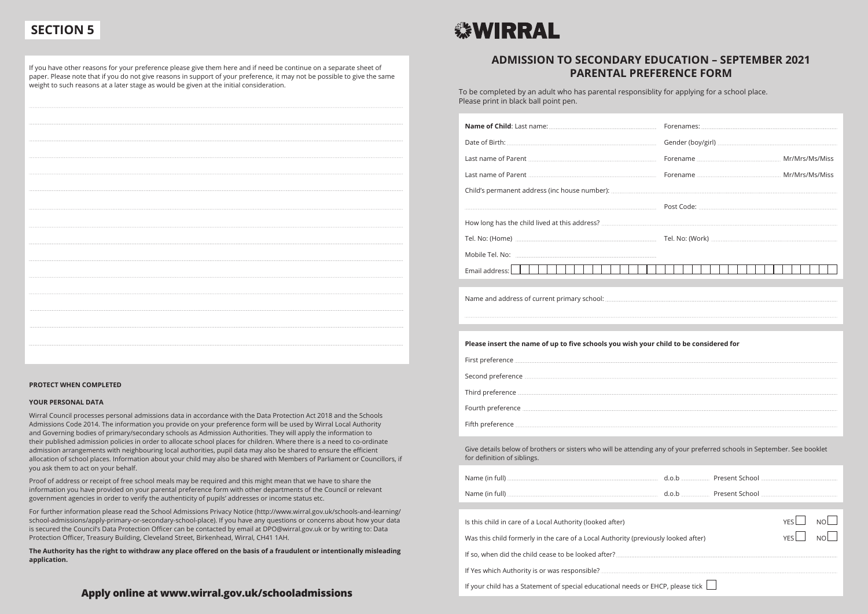## **ADMISSION TO SECONDARY EDUCATION – SEPTEMBER 2021 PARENTAL PREFERENCE FORM**

To be completed by an adult who has parental responsiblity for applying for a school place. Please print in black ball point pen.

## **Apply online at www.wirral.gov.uk/schooladmissions**

If you have other reasons for your preference please give them here and if need be continue on a separate sheet of paper. Please note that if you do not give reasons in support of your preference, it may not be possible to give the same weight to such reasons at a later stage as would be given at the initial consideration.

# **SEWIRRAL**

### **PROTECT WHEN COMPLETED**

| Last name of Parent Material Communication of Parent Material Communication of Parent Material Communication of Parent Material Communication of Parent Material Communication of Parent Material Communication of Parent Mate       |                   |                  |
|--------------------------------------------------------------------------------------------------------------------------------------------------------------------------------------------------------------------------------------|-------------------|------------------|
| Last name of Parent Material Communication of Parent Material Communication of Parent Material Communication of Parent Material Communication of Parent Material Communication of Parent Material Communication of Parent Mate       |                   |                  |
|                                                                                                                                                                                                                                      |                   |                  |
|                                                                                                                                                                                                                                      |                   |                  |
|                                                                                                                                                                                                                                      |                   |                  |
|                                                                                                                                                                                                                                      |                   |                  |
|                                                                                                                                                                                                                                      |                   |                  |
| <u> Espan</u><br>Email address: THEFTH<br><u>a shekara ta 1991 a Gabara ta 2001 a Gabara ta 2001 a Gabara ta 2001 a Gabara ta 2001 a Gabara ta 2001 a Gabar</u>                                                                      | $\sim$ 1 $\sim$ 1 |                  |
|                                                                                                                                                                                                                                      |                   |                  |
|                                                                                                                                                                                                                                      |                   |                  |
|                                                                                                                                                                                                                                      |                   |                  |
| Please insert the name of up to five schools you wish your child to be considered for                                                                                                                                                |                   |                  |
|                                                                                                                                                                                                                                      |                   |                  |
| Second preference <b>contract to the contract of the contract of the contract of the contract of the contract of the contract of the contract of the contract of the contract of the contract of the contract of the contract of</b> |                   |                  |
|                                                                                                                                                                                                                                      |                   |                  |
|                                                                                                                                                                                                                                      |                   |                  |
|                                                                                                                                                                                                                                      |                   |                  |
| Give details below of brothers or sisters who will be attending any of your preferred schools in September. See booklet<br>for definition of siblings.                                                                               |                   |                  |
|                                                                                                                                                                                                                                      |                   |                  |
|                                                                                                                                                                                                                                      |                   |                  |
|                                                                                                                                                                                                                                      |                   | <b>YES</b>       |
| Is this child in care of a Local Authority (looked after)                                                                                                                                                                            |                   | NO.              |
| Was this child formerly in the care of a Local Authority (previously looked after)                                                                                                                                                   |                   | YES<br><b>NO</b> |
|                                                                                                                                                                                                                                      |                   |                  |
|                                                                                                                                                                                                                                      |                   |                  |
| If your child has a Statement of special educational needs or EHCP, please tick                                                                                                                                                      |                   |                  |

## **YOUR PERSONAL DATA**

Wirral Council processes personal admissions data in accordance with the Data Protection Act 2018 and the Schools Admissions Code 2014. The information you provide on your preference form will be used by Wirral Local Authority and Governing bodies of primary/secondary schools as Admission Authorities. They will apply the information to their published admission policies in order to allocate school places for children. Where there is a need to co-ordinate admission arrangements with neighbouring local authorities, pupil data may also be shared to ensure the efficient allocation of school places. Information about your child may also be shared with Members of Parliament or Councillors, if you ask them to act on your behalf.

Proof of address or receipt of free school meals may be required and this might mean that we have to share the information you have provided on your parental preference form with other departments of the Council or relevant government agencies in order to verify the authenticity of pupils' addresses or income status etc.

For further information please read the School Admissions Privacy Notice (http://www.wirral.gov.uk/schools-and-learning/ school-admissions/apply-primary-or-secondary-school-place). If you have any questions or concerns about how your data is secured the Council's Data Protection Officer can be contacted by email at DPO@wirral.gov.uk or by writing to: Data Protection Officer, Treasury Building, Cleveland Street, Birkenhead, Wirral, CH41 1AH.

**The Authority has the right to withdraw any place offered on the basis of a fraudulent or intentionally misleading application.**

## **SECTION 5**